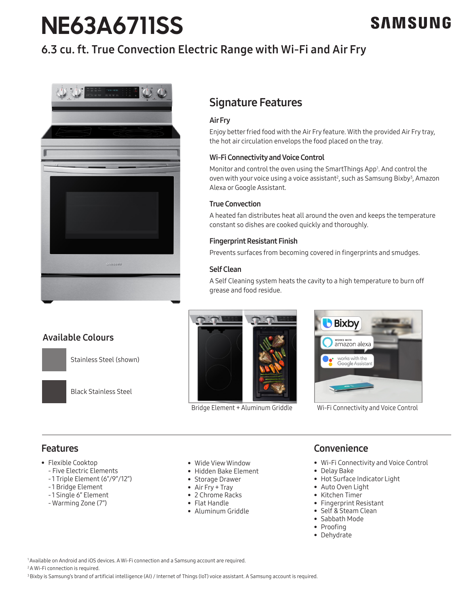# **NE63A6711SS**

# SAMSUNG

## 6.3 cu. ft. True Convection Electric Range with Wi-Fi and Air Fry



### Available Colours

Stainless Steel (shown)



Black Stainless Steel

Bridge Element + Aluminum Griddle Wi-Fi Connectivity and Voice Control



### Features

- Flexible Cooktop
	- Five Electric Elements
	- 1 Triple Element (6"/9"/12")
	- 1 Bridge Element
	- 1 Single 6" Element
	- Warming Zone (7")
- Wide View Window
- Hidden Bake Element
- Storage Drawer
- Air Fry + Tray
- 2 Chrome Racks
- Flat Handle
- Aluminum Griddle

### **Convenience**

- Wi-Fi Connectivity and Voice Control
- Delay Bake
- Hot Surface Indicator Light
- Auto Oven Light
- Kitchen Timer
- Fingerprint Resistant
- Self & Steam Clean
- Sabbath Mode
- Proofing
- Dehydrate

<sup>1</sup> Available on Android and iOS devices. A Wi-Fi connection and a Samsung account are required.

<sup>2</sup>A Wi-Fi connection is required.

<sup>3</sup> Bixby is Samsung's brand of artificial intelligence (AI) / Internet of Things (IoT) voice assistant. A Samsung account is required.

# Signature Features

### Air Fry

Enjoy better fried food with the Air Fry feature. With the provided Air Fry tray, the hot air circulation envelops the food placed on the tray.

### Wi-Fi Connectivity and Voice Control

Monitor and control the oven using the SmartThings App<sup>1</sup>. And control the oven with your voice using a voice assistant<sup>2</sup>, such as Samsung Bixby<sup>3</sup>, Amazon Alexa or Google Assistant.

### True Convection

A heated fan distributes heat all around the oven and keeps the temperature constant so dishes are cooked quickly and thoroughly.

### Fingerprint Resistant Finish

Prevents surfaces from becoming covered in fingerprints and smudges.

### Self Clean

A Self Cleaning system heats the cavity to a high temperature to burn off grease and food residue.